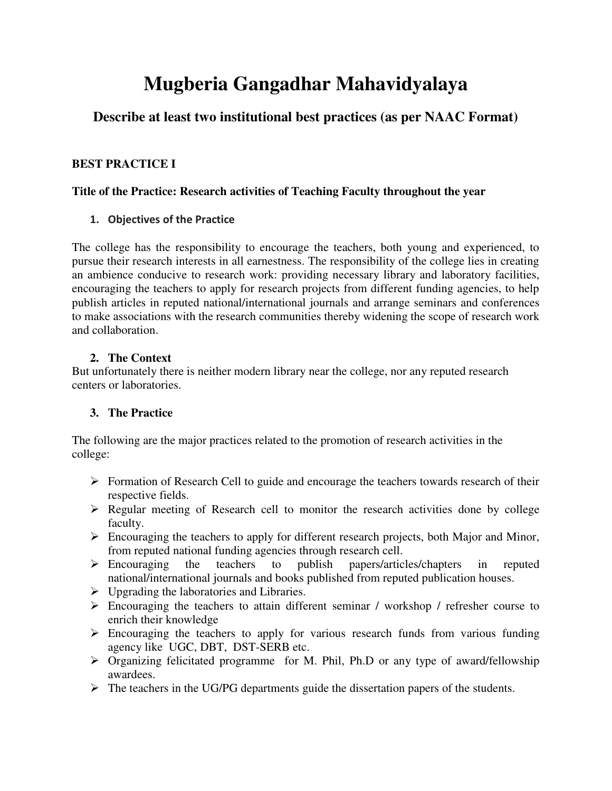# **Mugberia Gangadhar Mahavidyalaya**

# **Describe at least two institutional best practices (as per NAAC Format)**

# **BEST PRACTICE I**

# **Title of the Practice: Research activities of Teaching Faculty throughout the year**

# **1. Objectives of the Practice**

The college has the responsibility to encourage the teachers, both young and experienced, to pursue their research interests in all earnestness. The responsibility of the college lies in creating an ambience conducive to research work: providing necessary library and laboratory facilities, encouraging the teachers to apply for research projects from different funding agencies, to help publish articles in reputed national/international journals and arrange seminars and conferences to make associations with the research communities thereby widening the scope of research work and collaboration.

# **2. The Context**

But unfortunately there is neither modern library near the college, nor any reputed research centers or laboratories.

# **3. The Practice**

The following are the major practices related to the promotion of research activities in the college:

- $\triangleright$  Formation of Research Cell to guide and encourage the teachers towards research of their respective fields.
- $\triangleright$  Regular meeting of Research cell to monitor the research activities done by college faculty.
- $\triangleright$  Encouraging the teachers to apply for different research projects, both Major and Minor, from reputed national funding agencies through research cell.
- Encouraging the teachers to publish papers/articles/chapters in reputed national/international journals and books published from reputed publication houses.
- $\triangleright$  Upgrading the laboratories and Libraries.
- Encouraging the teachers to attain different seminar / workshop / refresher course to enrich their knowledge
- $\triangleright$  Encouraging the teachers to apply for various research funds from various funding agency like UGC, DBT, DST-SERB etc.
- $\triangleright$  Organizing felicitated programme for M. Phil, Ph.D or any type of award/fellowship awardees.
- $\triangleright$  The teachers in the UG/PG departments guide the dissertation papers of the students.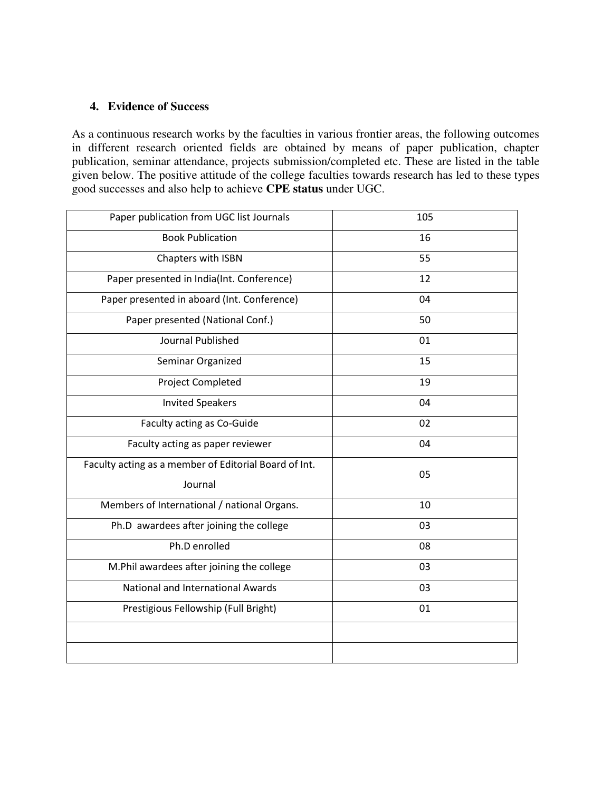#### **4. Evidence of Success**

As a continuous research works by the faculties in various frontier areas, the following outcomes in different research oriented fields are obtained by means of paper publication, chapter publication, seminar attendance, projects submission/completed etc. These are listed in the table given below. The positive attitude of the college faculties towards research has led to these types good successes and also help to achieve **CPE status** under UGC.

| 105 |
|-----|
| 16  |
| 55  |
| 12  |
| 04  |
| 50  |
| 01  |
| 15  |
| 19  |
| 04  |
| 02  |
| 04  |
| 05  |
|     |
| 03  |
| 08  |
| 03  |
| 03  |
| 01  |
|     |
|     |
|     |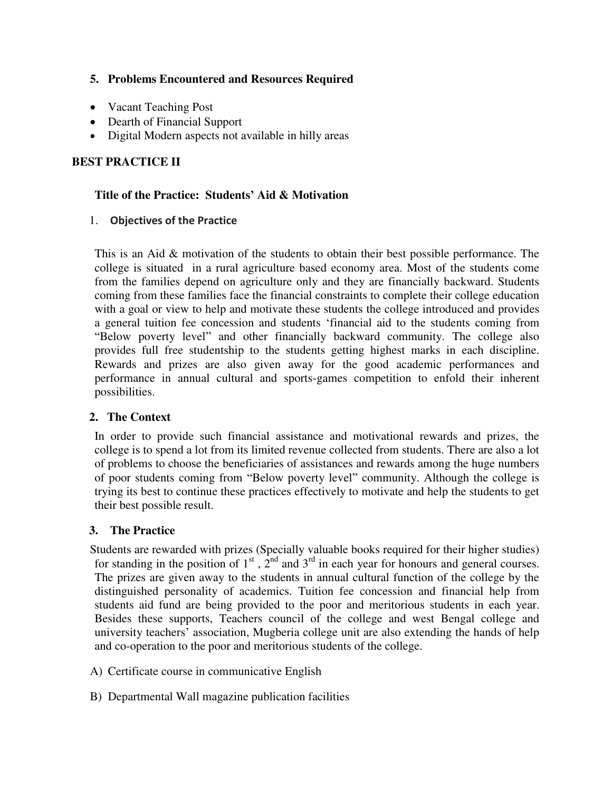#### **5. Problems Encountered and Resources Required**

- Vacant Teaching Post
- Dearth of Financial Support
- Digital Modern aspects not available in hilly areas

# **BEST PRACTICE II**

#### **Title of the Practice: Students' Aid & Motivation**

#### 1. **Objectives of the Practice**

 This is an Aid & motivation of the students to obtain their best possible performance. The college is situated in a rural agriculture based economy area. Most of the students come from the families depend on agriculture only and they are financially backward. Students coming from these families face the financial constraints to complete their college education with a goal or view to help and motivate these students the college introduced and provides a general tuition fee concession and students 'financial aid to the students coming from "Below poverty level" and other financially backward community. The college also provides full free studentship to the students getting highest marks in each discipline. Rewards and prizes are also given away for the good academic performances and performance in annual cultural and sports-games competition to enfold their inherent possibilities.

#### **2. The Context**

 In order to provide such financial assistance and motivational rewards and prizes, the college is to spend a lot from its limited revenue collected from students. There are also a lot of problems to choose the beneficiaries of assistances and rewards among the huge numbers of poor students coming from "Below poverty level" community. Although the college is trying its best to continue these practices effectively to motivate and help the students to get their best possible result.

#### **3. The Practice**

 Students are rewarded with prizes (Specially valuable books required for their higher studies) for standing in the position of  $1<sup>st</sup>$ ,  $2<sup>nd</sup>$  and  $3<sup>rd</sup>$  in each year for honours and general courses. The prizes are given away to the students in annual cultural function of the college by the distinguished personality of academics. Tuition fee concession and financial help from students aid fund are being provided to the poor and meritorious students in each year. Besides these supports, Teachers council of the college and west Bengal college and university teachers' association, Mugberia college unit are also extending the hands of help and co-operation to the poor and meritorious students of the college.

- A) Certificate course in communicative English
- B) Departmental Wall magazine publication facilities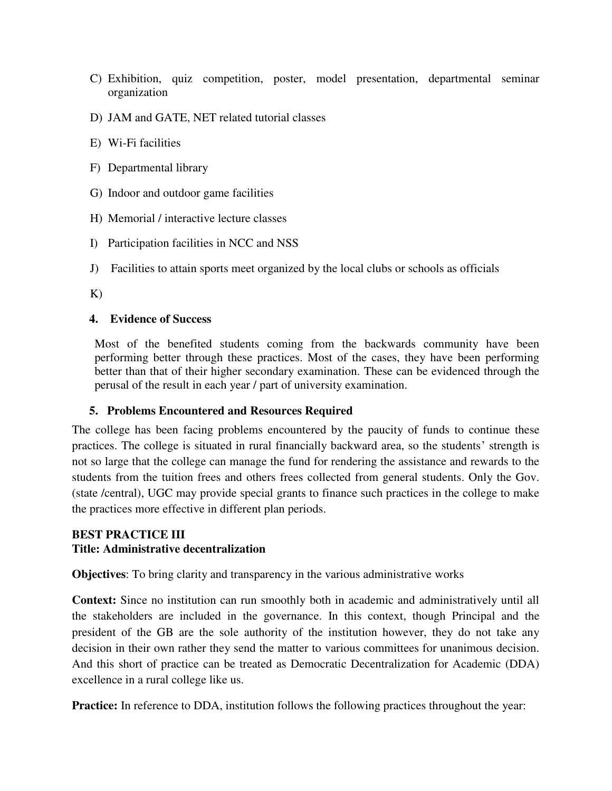- C) Exhibition, quiz competition, poster, model presentation, departmental seminar organization
- D) JAM and GATE, NET related tutorial classes
- E) Wi-Fi facilities
- F) Departmental library
- G) Indoor and outdoor game facilities
- H) Memorial / interactive lecture classes
- I) Participation facilities in NCC and NSS
- J) Facilities to attain sports meet organized by the local clubs or schools as officials

K)

#### **4. Evidence of Success**

 Most of the benefited students coming from the backwards community have been performing better through these practices. Most of the cases, they have been performing better than that of their higher secondary examination. These can be evidenced through the perusal of the result in each year / part of university examination.

#### **5. Problems Encountered and Resources Required**

The college has been facing problems encountered by the paucity of funds to continue these practices. The college is situated in rural financially backward area, so the students' strength is not so large that the college can manage the fund for rendering the assistance and rewards to the students from the tuition frees and others frees collected from general students. Only the Gov. (state /central), UGC may provide special grants to finance such practices in the college to make the practices more effective in different plan periods.

#### **BEST PRACTICE III Title: Administrative decentralization**

**Objectives**: To bring clarity and transparency in the various administrative works

**Context:** Since no institution can run smoothly both in academic and administratively until all the stakeholders are included in the governance. In this context, though Principal and the president of the GB are the sole authority of the institution however, they do not take any decision in their own rather they send the matter to various committees for unanimous decision. And this short of practice can be treated as Democratic Decentralization for Academic (DDA) excellence in a rural college like us.

**Practice:** In reference to DDA, institution follows the following practices throughout the year: